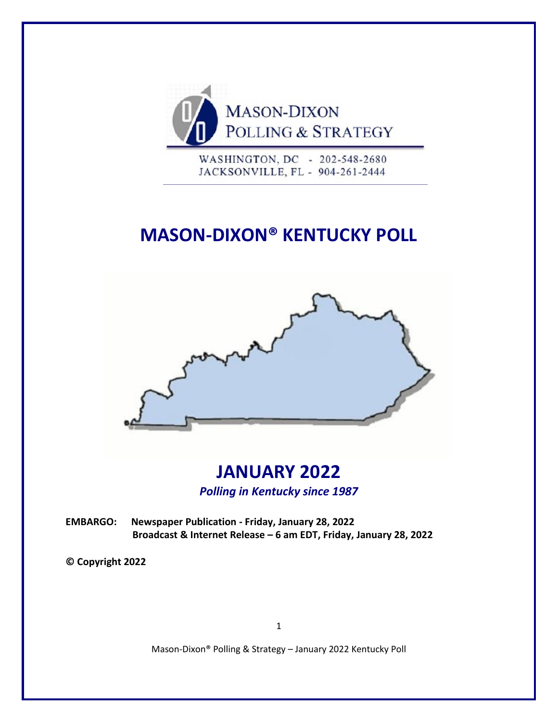

WASHINGTON, DC - 202-548-2680 JACKSONVILLE, FL - 904-261-2444

# **MASON-DIXON® KENTUCKY POLL**



# **JANUARY 2022** *Polling in Kentucky since 1987*

**EMBARGO: Newspaper Publication - Friday, January 28, 2022 Broadcast & Internet Release – 6 am EDT, Friday, January 28, 2022**

**© Copyright 2022**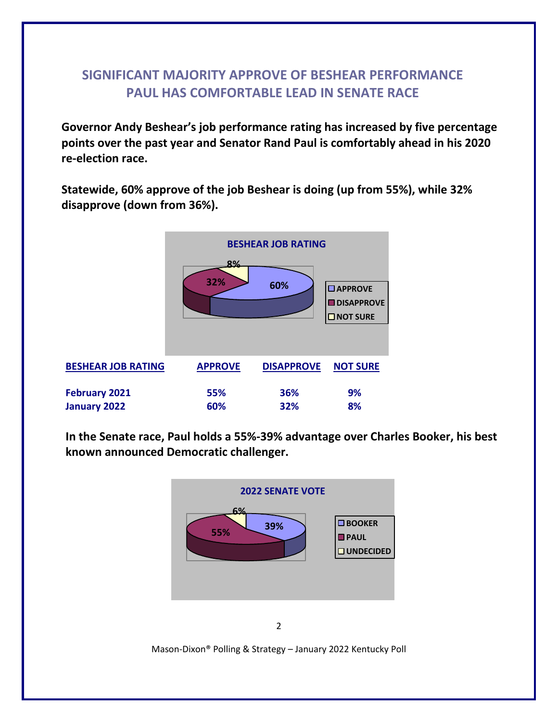### **SIGNIFICANT MAJORITY APPROVE OF BESHEAR PERFORMANCE PAUL HAS COMFORTABLE LEAD IN SENATE RACE**

**Governor Andy Beshear's job performance rating has increased by five percentage points over the past year and Senator Rand Paul is comfortably ahead in his 2020 re-election race.**

**Statewide, 60% approve of the job Beshear is doing (up from 55%), while 32% disapprove (down from 36%).** 



**In the Senate race, Paul holds a 55%-39% advantage over Charles Booker, his best known announced Democratic challenger.**



2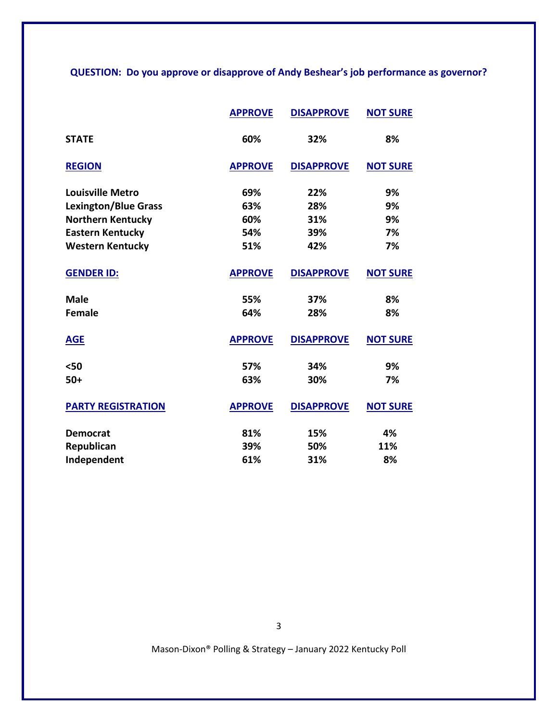#### **QUESTION: Do you approve or disapprove of Andy Beshear's job performance as governor?**

|                             | <b>APPROVE</b> | <b>DISAPPROVE</b> | <b>NOT SURE</b> |
|-----------------------------|----------------|-------------------|-----------------|
| <b>STATE</b>                | 60%            | 32%               | 8%              |
| <b>REGION</b>               | <b>APPROVE</b> | <b>DISAPPROVE</b> | <b>NOT SURE</b> |
| <b>Louisville Metro</b>     | 69%            | 22%               | 9%              |
| <b>Lexington/Blue Grass</b> | 63%            | 28%               | 9%              |
| <b>Northern Kentucky</b>    | 60%            | 31%               | 9%              |
| <b>Eastern Kentucky</b>     | 54%            | 39%               | 7%              |
| <b>Western Kentucky</b>     | 51%            | 42%               | 7%              |
| <b>GENDER ID:</b>           | <b>APPROVE</b> | <b>DISAPPROVE</b> | <b>NOT SURE</b> |
| <b>Male</b>                 | 55%            | 37%               | 8%              |
| <b>Female</b>               | 64%            | 28%               | 8%              |
| <b>AGE</b>                  | <b>APPROVE</b> | <b>DISAPPROVE</b> | <b>NOT SURE</b> |
| $50$                        | 57%            | 34%               | 9%              |
| $50+$                       | 63%            | 30%               | 7%              |
| <b>PARTY REGISTRATION</b>   | <b>APPROVE</b> | <b>DISAPPROVE</b> | <b>NOT SURE</b> |
| <b>Democrat</b>             | 81%            | 15%               | 4%              |
| Republican                  | 39%            | 50%               | 11%             |
| Independent                 | 61%            | 31%               | 8%              |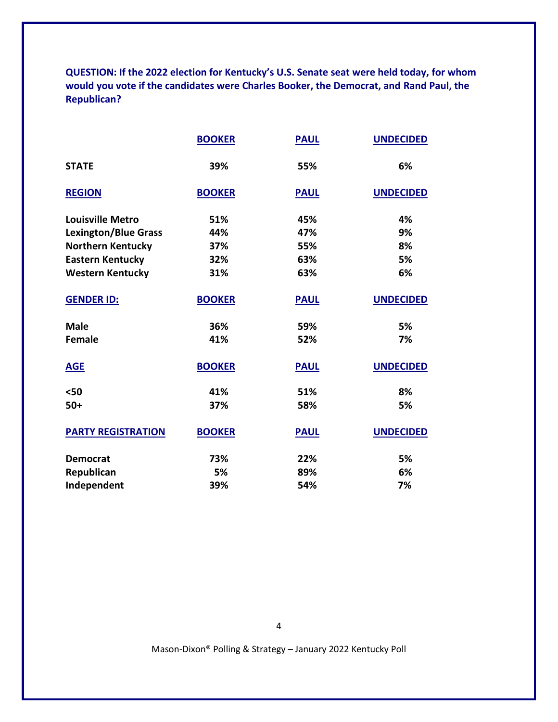**QUESTION: If the 2022 election for Kentucky's U.S. Senate seat were held today, for whom would you vote if the candidates were Charles Booker, the Democrat, and Rand Paul, the Republican?**

|                             | <b>BOOKER</b> | <b>PAUL</b> | <b>UNDECIDED</b> |
|-----------------------------|---------------|-------------|------------------|
| <b>STATE</b>                | 39%           | 55%         | 6%               |
| <b>REGION</b>               | <b>BOOKER</b> | <b>PAUL</b> | <b>UNDECIDED</b> |
| <b>Louisville Metro</b>     | 51%           | 45%         | 4%               |
| <b>Lexington/Blue Grass</b> | 44%           | 47%         | 9%               |
| <b>Northern Kentucky</b>    | 37%           | 55%         | 8%               |
| <b>Eastern Kentucky</b>     | 32%           | 63%         | 5%               |
| <b>Western Kentucky</b>     | 31%           | 63%         | 6%               |
| <b>GENDER ID:</b>           | <b>BOOKER</b> | <b>PAUL</b> | <b>UNDECIDED</b> |
| <b>Male</b>                 | 36%           | 59%         | 5%               |
| <b>Female</b>               | 41%           | 52%         | 7%               |
| <b>AGE</b>                  | <b>BOOKER</b> | <b>PAUL</b> | <b>UNDECIDED</b> |
| $50$                        | 41%           | 51%         | 8%               |
| $50+$                       | 37%           | 58%         | 5%               |
| <b>PARTY REGISTRATION</b>   | <b>BOOKER</b> | <b>PAUL</b> | <b>UNDECIDED</b> |
| <b>Democrat</b>             | 73%           | 22%         | 5%               |
| Republican                  | 5%            | 89%         | 6%               |
| Independent                 | 39%           | 54%         | 7%               |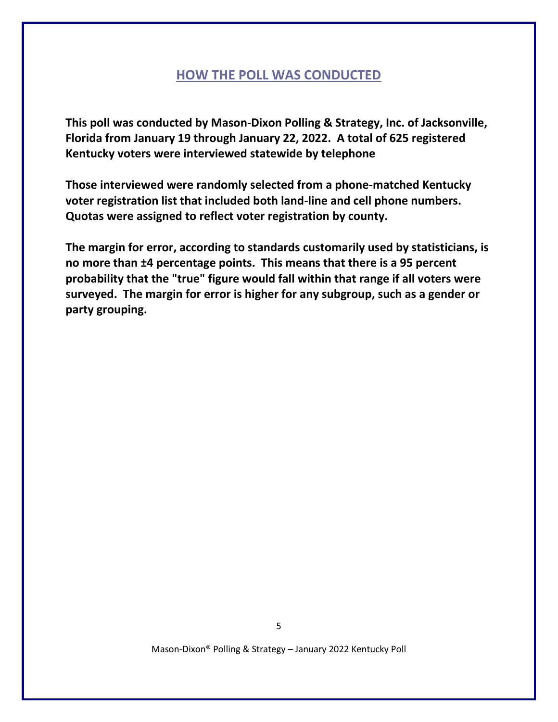#### **HOW THE POLL WAS CONDUCTED**

**This poll was conducted by Mason-Dixon Polling & Strategy, Inc. of Jacksonville, Florida from January 19 through January 22, 2022. A total of 625 registered Kentucky voters were interviewed statewide by telephone**

**Those interviewed were randomly selected from a phone-matched Kentucky voter registration list that included both land-line and cell phone numbers. Quotas were assigned to reflect voter registration by county.**

**The margin for error, according to standards customarily used by statisticians, is no more than ±4 percentage points. This means that there is a 95 percent probability that the "true" figure would fall within that range if all voters were surveyed. The margin for error is higher for any subgroup, such as a gender or party grouping.**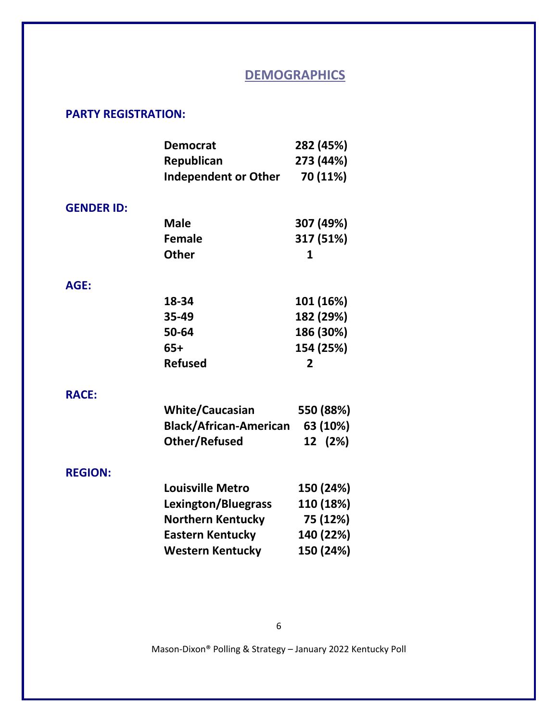## **DEMOGRAPHICS**

#### **PARTY REGISTRATION:**

|                   | <b>Democrat</b>               | 282 (45%)      |
|-------------------|-------------------------------|----------------|
|                   | Republican                    | 273 (44%)      |
|                   | <b>Independent or Other</b>   | 70 (11%)       |
|                   |                               |                |
| <b>GENDER ID:</b> |                               |                |
|                   | <b>Male</b>                   | 307 (49%)      |
|                   | <b>Female</b>                 | 317 (51%)      |
|                   | <b>Other</b>                  | 1              |
| AGE:              |                               |                |
|                   | 18-34                         | 101 (16%)      |
|                   | 35-49                         | 182 (29%)      |
|                   | 50-64                         | 186 (30%)      |
|                   | $65+$                         | 154 (25%)      |
|                   | <b>Refused</b>                | $\overline{2}$ |
| <b>RACE:</b>      |                               |                |
|                   | <b>White/Caucasian</b>        | 550 (88%)      |
|                   | <b>Black/African-American</b> | 63 (10%)       |
|                   | <b>Other/Refused</b>          | 12 (2%)        |
| <b>REGION:</b>    |                               |                |
|                   | <b>Louisville Metro</b>       | 150 (24%)      |
|                   | Lexington/Bluegrass           | 110 (18%)      |
|                   | <b>Northern Kentucky</b>      | 75 (12%)       |
|                   | <b>Eastern Kentucky</b>       | 140 (22%)      |
|                   | <b>Western Kentucky</b>       | 150 (24%)      |
|                   |                               |                |

6